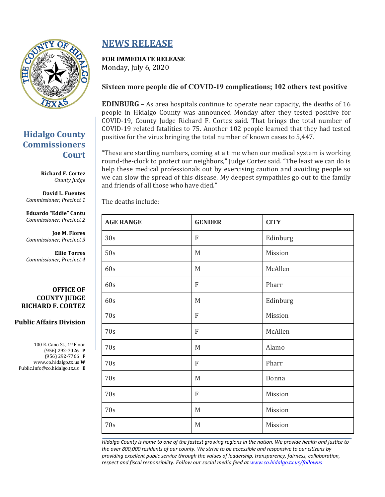

### **Hidalgo County Commissioners Court**

**Richard F. Cortez** *County Judge*

**David L. Fuentes** *Commissioner, Precinct 1*

**Eduardo "Eddie" Cantu** *Commissioner, Precinct 2*

**Joe M. Flores** *Commissioner, Precinct 3*

**Ellie Torres** *Commissioner, Precinct 4*

**OFFICE OF COUNTY JUDGE RICHARD F. CORTEZ**

### **Public Affairs Division**

100 E. Cano St., 1st Floor (956) 292-7026 **P** (956) 292-7766 **F** www.co.hidalgo.tx.us **W** Public.Info@co.hidalgo.tx.us **E**

# **NEWS RELEASE**

## **FOR IMMEDIATE RELEASE**

Monday, July 6, 2020

### **Sixteen more people die of COVID-19 complications; 102 others test positive**

**EDINBURG** – As area hospitals continue to operate near capacity, the deaths of 16 people in Hidalgo County was announced Monday after they tested positive for COVID-19, County Judge Richard F. Cortez said. That brings the total number of COVID-19 related fatalities to 75. Another 102 people learned that they had tested positive for the virus bringing the total number of known cases to 5,447.

"These are startling numbers, coming at a time when our medical system is working round-the-clock to protect our neighbors," Judge Cortez said. "The least we can do is help these medical professionals out by exercising caution and avoiding people so we can slow the spread of this disease. My deepest sympathies go out to the family and friends of all those who have died."

The deaths include:

| <b>AGE RANGE</b> | <b>GENDER</b> | <b>CITY</b> |  |  |
|------------------|---------------|-------------|--|--|
| 30s              | ${\bf F}$     | Edinburg    |  |  |
| 50s              | M             | Mission     |  |  |
| 60s              | M             | McAllen     |  |  |
| 60s              | ${\bf F}$     | Pharr       |  |  |
| 60s              | M             | Edinburg    |  |  |
| 70s              | ${\bf F}$     | Mission     |  |  |
| 70s              | ${\bf F}$     | McAllen     |  |  |
| 70s              | M             | Alamo       |  |  |
| 70s              | F             | Pharr       |  |  |
| 70s              | M             | Donna       |  |  |
| 70s              | F             | Mission     |  |  |
| 70s              | M             | Mission     |  |  |
| 70s              | M             | Mission     |  |  |

*Hidalgo County is home to one of the fastest growing regions in the nation. We provide health and justice to the over 800,000 residents of our county. We strive to be accessible and responsive to our citizens by providing excellent public service through the values of leadership, transparency, fairness, collaboration, respect and fiscal responsibility. Follow our social media feed a[t www.co.hidalgo.tx.us/followus](http://www.co.hidalgo.tx.us/followus)*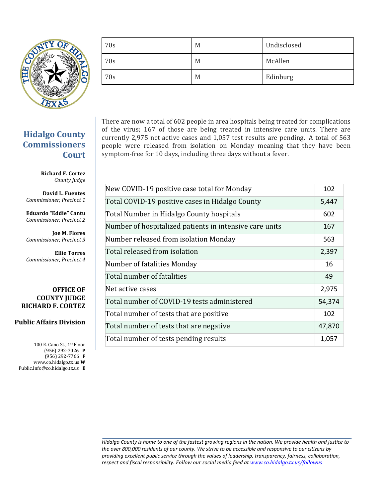

| 70s | M | Undisclosed |
|-----|---|-------------|
| 70s | M | McAllen     |
| 70s | M | Edinburg    |

There are now a total of 602 people in area hospitals being treated for complications of the virus; 167 of those are being treated in intensive care units. There are currently 2,975 net active cases and 1,057 test results are pending. A total of 563 people were released from isolation on Monday meaning that they have been symptom-free for 10 days, including three days without a fever.

| New COVID-19 positive case total for Monday             | 102    |
|---------------------------------------------------------|--------|
| Total COVID-19 positive cases in Hidalgo County         | 5,447  |
| Total Number in Hidalgo County hospitals                | 602    |
| Number of hospitalized patients in intensive care units | 167    |
| Number released from isolation Monday                   | 563    |
| Total released from isolation                           | 2,397  |
| Number of fatalities Monday                             | 16     |
| Total number of fatalities                              | 49     |
| Net active cases                                        | 2,975  |
| Total number of COVID-19 tests administered             | 54,374 |
| Total number of tests that are positive                 | 102    |
| Total number of tests that are negative                 | 47,870 |
| Total number of tests pending results                   | 1,057  |

*Hidalgo County is home to one of the fastest growing regions in the nation. We provide health and justice to the over 800,000 residents of our county. We strive to be accessible and responsive to our citizens by providing excellent public service through the values of leadership, transparency, fairness, collaboration, respect and fiscal responsibility. Follow our social media feed a[t www.co.hidalgo.tx.us/followus](http://www.co.hidalgo.tx.us/followus)*

### **Hidalgo County Commissioners Court**

**Richard F. Cortez** *County Judge*

**David L. Fuentes** *Commissioner, Precinct 1*

**Eduardo "Eddie" Cantu** *Commissioner, Precinct 2*

**Joe M. Flores** *Commissioner, Precinct 3*

**Ellie Torres** *Commissioner, Precinct 4*

#### **OFFICE OF COUNTY JUDGE RICHARD F. CORTEZ**

### **Public Affairs Division**

100 E. Cano St., 1st Floor (956) 292-7026 **P** (956) 292-7766 **F** www.co.hidalgo.tx.us **W** Public.Info@co.hidalgo.tx.us **E**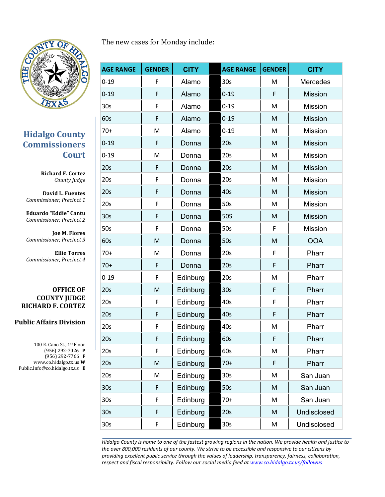

### **Hidalgo County Commissioners Court**

**Richard F. Cortez** *County Judge*

**David L. Fuentes** *Commissioner, Precinct 1*

**Eduardo "Eddie" Cantu** *Commissioner, Precinct 2*

**Joe M. Flores** *Commissioner, Precinct 3*

**Ellie Torres** *Commissioner, Precinct 4*

#### **OFFICE OF COUNTY JUDGE RICHARD F. CORTEZ**

### **Public Affairs Division**

100 E. Cano St., 1st Floor (956) 292-7026 **P** (956) 292-7766 **F** www.co.hidalgo.tx.us **W** Public.Info@co.hidalgo.tx.us **E**

| <b>AGE RANGE</b> | <b>GENDER</b> | <b>CITY</b> | <b>AGE RANGE</b> | <b>GENDER</b> | <b>CITY</b>    |
|------------------|---------------|-------------|------------------|---------------|----------------|
| $0 - 19$         | F             | Alamo       | 30 <sub>s</sub>  | M             | Mercedes       |
| $0 - 19$         | F             | Alamo       | $0 - 19$         | F             | <b>Mission</b> |
| 30s              | F             | Alamo       | $0 - 19$         | M             | Mission        |
| 60s              | F             | Alamo       | $0 - 19$         | M             | <b>Mission</b> |
| $70+$            | M             | Alamo       | $0 - 19$         | M             | <b>Mission</b> |
| $0 - 19$         | F             | Donna       | 20s              | M             | <b>Mission</b> |
| $0 - 19$         | M             | Donna       | 20s              | M             | Mission        |
| 20s              | F             | Donna       | 20s              | M             | <b>Mission</b> |
| 20s              | F             | Donna       | 20s              | M             | <b>Mission</b> |
| 20s              | F             | Donna       | 40s              | M             | <b>Mission</b> |
| 20s              | F             | Donna       | 50s              | M             | <b>Mission</b> |
| 30 <sub>s</sub>  | F             | Donna       | <b>50S</b>       | M             | <b>Mission</b> |
| 50s              | F             | Donna       | 50s              | F             | Mission        |
| 60s              | M             | Donna       | 50s              | M             | <b>OOA</b>     |
| $70+$            | M             | Donna       | 20s              | F             | Pharr          |
| $70+$            | F             | Donna       | 20s              | F             | Pharr          |
| $0 - 19$         | F             | Edinburg    | 20s              | M             | Pharr          |
| 20s              | M             | Edinburg    | 30 <sub>s</sub>  | F             | Pharr          |
| 20s              | F             | Edinburg    | 40s              | F             | Pharr          |
| 20s              | F             | Edinburg    | 40s              | F             | Pharr          |
| 20s              | F             | Edinburg    | 40s              | M             | Pharr          |
| 20s              | F             | Edinburg    | 60s              | F             | Pharr          |
| 20s              | F             | Edinburg    | 60s              | M             | Pharr          |
| 20s              | M             | Edinburg    | $70+$            | F             | Pharr          |
| 20s              | M             | Edinburg    | 30 <sub>s</sub>  | M             | San Juan       |
| 30 <sub>s</sub>  | F             | Edinburg    | 50s              | M             | San Juan       |
| 30s              | F             | Edinburg    | $70+$            | M             | San Juan       |
| 30 <sub>s</sub>  | F             | Edinburg    | 20s              | M             | Undisclosed    |
| 30s              | F             | Edinburg    | 30 <sub>s</sub>  | M             | Undisclosed    |

*Hidalgo County is home to one of the fastest growing regions in the nation. We provide health and justice to the over 800,000 residents of our county. We strive to be accessible and responsive to our citizens by providing excellent public service through the values of leadership, transparency, fairness, collaboration, respect and fiscal responsibility. Follow our social media feed a[t www.co.hidalgo.tx.us/followus](http://www.co.hidalgo.tx.us/followus)*

### The new cases for Monday include: